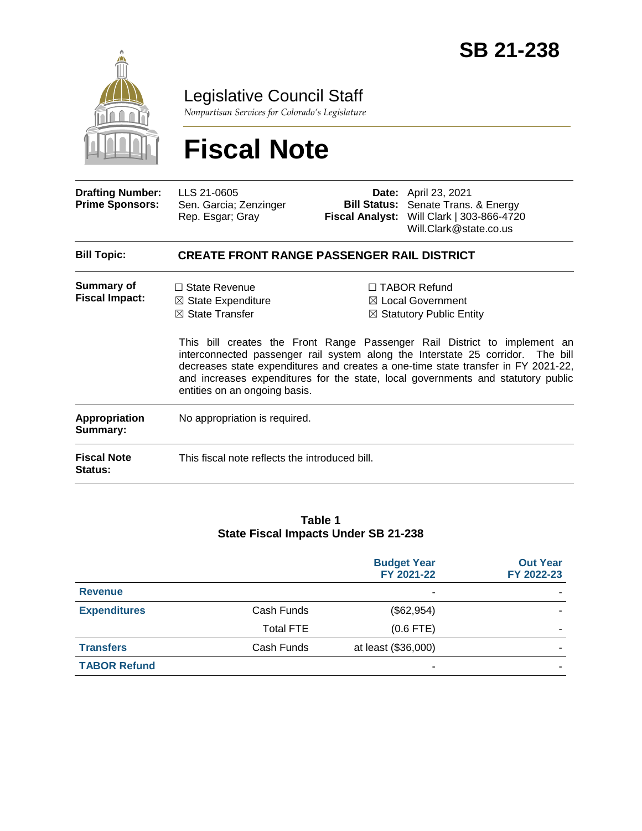

Legislative Council Staff

*Nonpartisan Services for Colorado's Legislature*

# **Fiscal Note**

| <b>Drafting Number:</b><br><b>Prime Sponsors:</b> | LLS 21-0605<br>Sen. Garcia; Zenzinger<br>Rep. Esgar; Gray                                                                                                                                                                                                                                                                                                              |  | <b>Date:</b> April 23, 2021<br><b>Bill Status:</b> Senate Trans. & Energy<br>Fiscal Analyst: Will Clark   303-866-4720<br>Will.Clark@state.co.us |
|---------------------------------------------------|------------------------------------------------------------------------------------------------------------------------------------------------------------------------------------------------------------------------------------------------------------------------------------------------------------------------------------------------------------------------|--|--------------------------------------------------------------------------------------------------------------------------------------------------|
| <b>Bill Topic:</b>                                | <b>CREATE FRONT RANGE PASSENGER RAIL DISTRICT</b>                                                                                                                                                                                                                                                                                                                      |  |                                                                                                                                                  |
| Summary of<br><b>Fiscal Impact:</b>               | $\Box$ State Revenue<br>$\boxtimes$ State Expenditure<br>$\boxtimes$ State Transfer                                                                                                                                                                                                                                                                                    |  | $\Box$ TABOR Refund<br>$\boxtimes$ Local Government<br>$\boxtimes$ Statutory Public Entity                                                       |
|                                                   | This bill creates the Front Range Passenger Rail District to implement an<br>interconnected passenger rail system along the Interstate 25 corridor. The bill<br>decreases state expenditures and creates a one-time state transfer in FY 2021-22,<br>and increases expenditures for the state, local governments and statutory public<br>entities on an ongoing basis. |  |                                                                                                                                                  |

| Appropriation<br>Summary:     | No appropriation is required.                  |  |  |
|-------------------------------|------------------------------------------------|--|--|
| <b>Fiscal Note</b><br>Status: | This fiscal note reflects the introduced bill. |  |  |

#### **Table 1 State Fiscal Impacts Under SB 21-238**

|                     |                  | <b>Budget Year</b><br>FY 2021-22 | <b>Out Year</b><br>FY 2022-23 |
|---------------------|------------------|----------------------------------|-------------------------------|
| <b>Revenue</b>      |                  | $\overline{\phantom{0}}$         |                               |
| <b>Expenditures</b> | Cash Funds       | (\$62,954)                       |                               |
|                     | <b>Total FTE</b> | $(0.6$ FTE)                      |                               |
| <b>Transfers</b>    | Cash Funds       | at least (\$36,000)              |                               |
| <b>TABOR Refund</b> |                  | ٠                                |                               |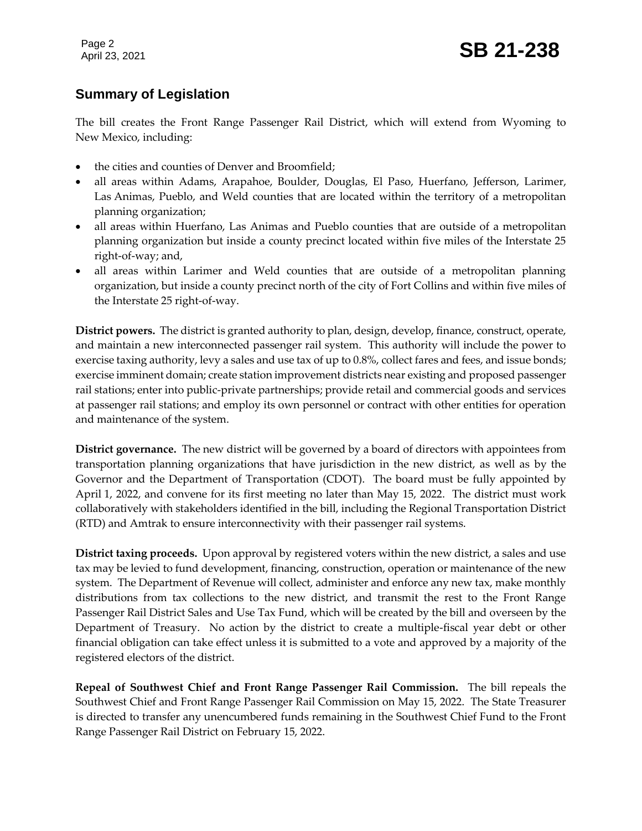Page 2

#### **Summary of Legislation**

The bill creates the Front Range Passenger Rail District, which will extend from Wyoming to New Mexico, including:

- the cities and counties of Denver and Broomfield;
- all areas within Adams, Arapahoe, Boulder, Douglas, El Paso, Huerfano, Jefferson, Larimer, Las Animas, Pueblo, and Weld counties that are located within the territory of a metropolitan planning organization;
- all areas within Huerfano, Las Animas and Pueblo counties that are outside of a metropolitan planning organization but inside a county precinct located within five miles of the Interstate 25 right-of-way; and,
- all areas within Larimer and Weld counties that are outside of a metropolitan planning organization, but inside a county precinct north of the city of Fort Collins and within five miles of the Interstate 25 right-of-way.

**District powers.** The district is granted authority to plan, design, develop, finance, construct, operate, and maintain a new interconnected passenger rail system. This authority will include the power to exercise taxing authority, levy a sales and use tax of up to 0.8%, collect fares and fees, and issue bonds; exercise imminent domain; create station improvement districts near existing and proposed passenger rail stations; enter into public-private partnerships; provide retail and commercial goods and services at passenger rail stations; and employ its own personnel or contract with other entities for operation and maintenance of the system.

**District governance.** The new district will be governed by a board of directors with appointees from transportation planning organizations that have jurisdiction in the new district, as well as by the Governor and the Department of Transportation (CDOT). The board must be fully appointed by April 1, 2022, and convene for its first meeting no later than May 15, 2022. The district must work collaboratively with stakeholders identified in the bill, including the Regional Transportation District (RTD) and Amtrak to ensure interconnectivity with their passenger rail systems.

**District taxing proceeds.** Upon approval by registered voters within the new district, a sales and use tax may be levied to fund development, financing, construction, operation or maintenance of the new system. The Department of Revenue will collect, administer and enforce any new tax, make monthly distributions from tax collections to the new district, and transmit the rest to the Front Range Passenger Rail District Sales and Use Tax Fund, which will be created by the bill and overseen by the Department of Treasury. No action by the district to create a multiple-fiscal year debt or other financial obligation can take effect unless it is submitted to a vote and approved by a majority of the registered electors of the district.

**Repeal of Southwest Chief and Front Range Passenger Rail Commission.** The bill repeals the Southwest Chief and Front Range Passenger Rail Commission on May 15, 2022. The State Treasurer is directed to transfer any unencumbered funds remaining in the Southwest Chief Fund to the Front Range Passenger Rail District on February 15, 2022.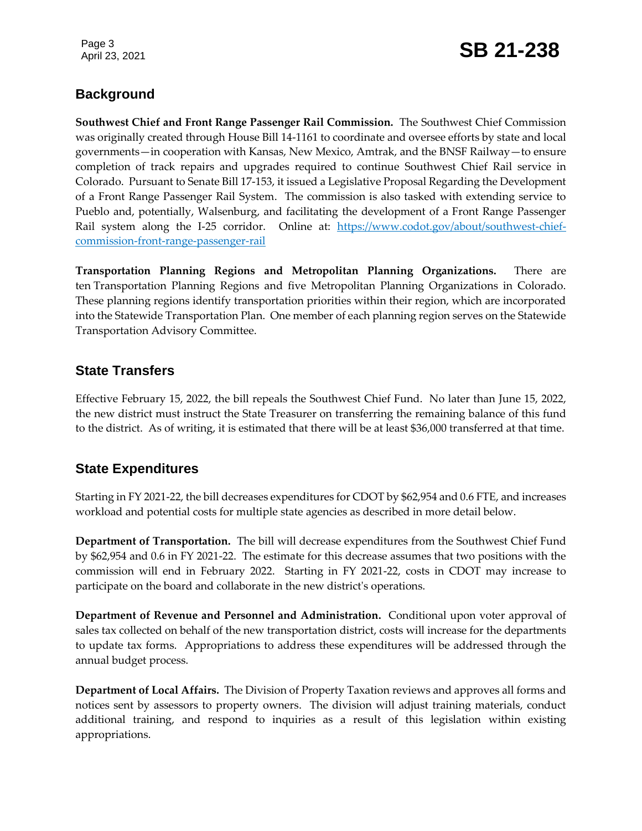Page 3

## Page 3<br>April 23, 2021 **SB 21-238**

#### **Background**

**Southwest Chief and Front Range Passenger Rail Commission.** The Southwest Chief Commission was originally created through House Bill 14-1161 to coordinate and oversee efforts by state and local governments—in cooperation with Kansas, New Mexico, Amtrak, and the BNSF Railway—to ensure completion of track repairs and upgrades required to continue Southwest Chief Rail service in Colorado. Pursuant to Senate Bill 17-153, it issued a Legislative Proposal Regarding the Development of a Front Range Passenger Rail System. The commission is also tasked with extending service to Pueblo and, potentially, Walsenburg, and facilitating the development of a Front Range Passenger Rail system along the I-25 corridor. Online at: [https://www.codot.gov/about/southwest-chief](https://www.codot.gov/about/southwest-chief-commission-front-range-passenger-rail)[commission-front-range-passenger-rail](https://www.codot.gov/about/southwest-chief-commission-front-range-passenger-rail)

**Transportation Planning Regions and Metropolitan Planning Organizations.** There are ten Transportation Planning Regions and five Metropolitan Planning Organizations in Colorado. These planning regions identify transportation priorities within their region, which are incorporated into the Statewide Transportation Plan. One member of each planning region serves on the Statewide Transportation Advisory Committee.

#### **State Transfers**

Effective February 15, 2022, the bill repeals the Southwest Chief Fund. No later than June 15, 2022, the new district must instruct the State Treasurer on transferring the remaining balance of this fund to the district. As of writing, it is estimated that there will be at least \$36,000 transferred at that time.

#### **State Expenditures**

Starting in FY 2021-22, the bill decreases expenditures for CDOT by \$62,954 and 0.6 FTE, and increases workload and potential costs for multiple state agencies as described in more detail below.

**Department of Transportation.** The bill will decrease expenditures from the Southwest Chief Fund by \$62,954 and 0.6 in FY 2021-22. The estimate for this decrease assumes that two positions with the commission will end in February 2022. Starting in FY 2021-22, costs in CDOT may increase to participate on the board and collaborate in the new district's operations.

**Department of Revenue and Personnel and Administration.** Conditional upon voter approval of sales tax collected on behalf of the new transportation district, costs will increase for the departments to update tax forms. Appropriations to address these expenditures will be addressed through the annual budget process.

**Department of Local Affairs.** The Division of Property Taxation reviews and approves all forms and notices sent by assessors to property owners. The division will adjust training materials, conduct additional training, and respond to inquiries as a result of this legislation within existing appropriations.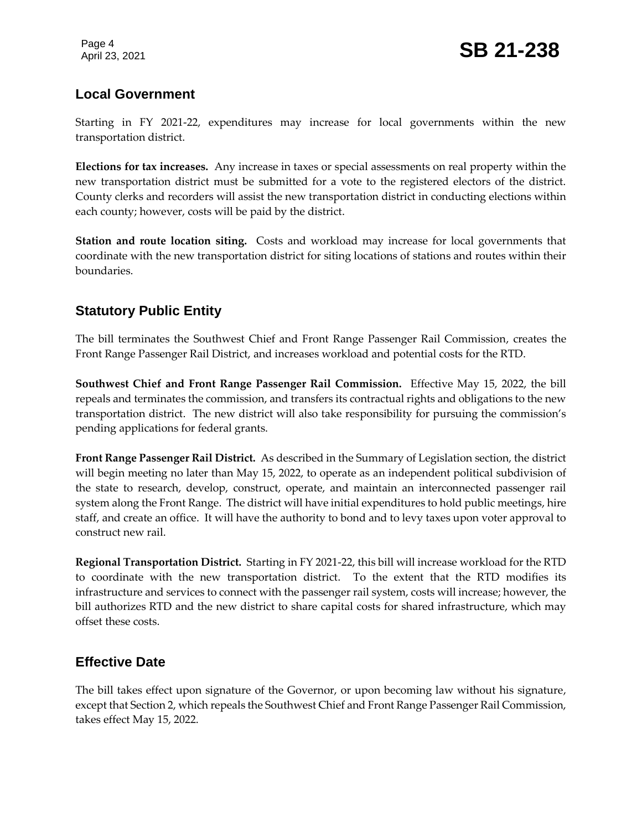#### **Local Government**

Starting in FY 2021-22, expenditures may increase for local governments within the new transportation district.

**Elections for tax increases.** Any increase in taxes or special assessments on real property within the new transportation district must be submitted for a vote to the registered electors of the district. County clerks and recorders will assist the new transportation district in conducting elections within each county; however, costs will be paid by the district.

**Station and route location siting.** Costs and workload may increase for local governments that coordinate with the new transportation district for siting locations of stations and routes within their boundaries.

#### **Statutory Public Entity**

The bill terminates the Southwest Chief and Front Range Passenger Rail Commission, creates the Front Range Passenger Rail District, and increases workload and potential costs for the RTD.

**Southwest Chief and Front Range Passenger Rail Commission.** Effective May 15, 2022, the bill repeals and terminates the commission, and transfers its contractual rights and obligations to the new transportation district. The new district will also take responsibility for pursuing the commission's pending applications for federal grants.

**Front Range Passenger Rail District.** As described in the Summary of Legislation section, the district will begin meeting no later than May 15, 2022, to operate as an independent political subdivision of the state to research, develop, construct, operate, and maintain an interconnected passenger rail system along the Front Range. The district will have initial expenditures to hold public meetings, hire staff, and create an office. It will have the authority to bond and to levy taxes upon voter approval to construct new rail.

**Regional Transportation District.** Starting in FY 2021-22, this bill will increase workload for the RTD to coordinate with the new transportation district. To the extent that the RTD modifies its infrastructure and services to connect with the passenger rail system, costs will increase; however, the bill authorizes RTD and the new district to share capital costs for shared infrastructure, which may offset these costs.

#### **Effective Date**

The bill takes effect upon signature of the Governor, or upon becoming law without his signature, except that Section 2, which repeals the Southwest Chief and Front Range Passenger Rail Commission, takes effect May 15, 2022.